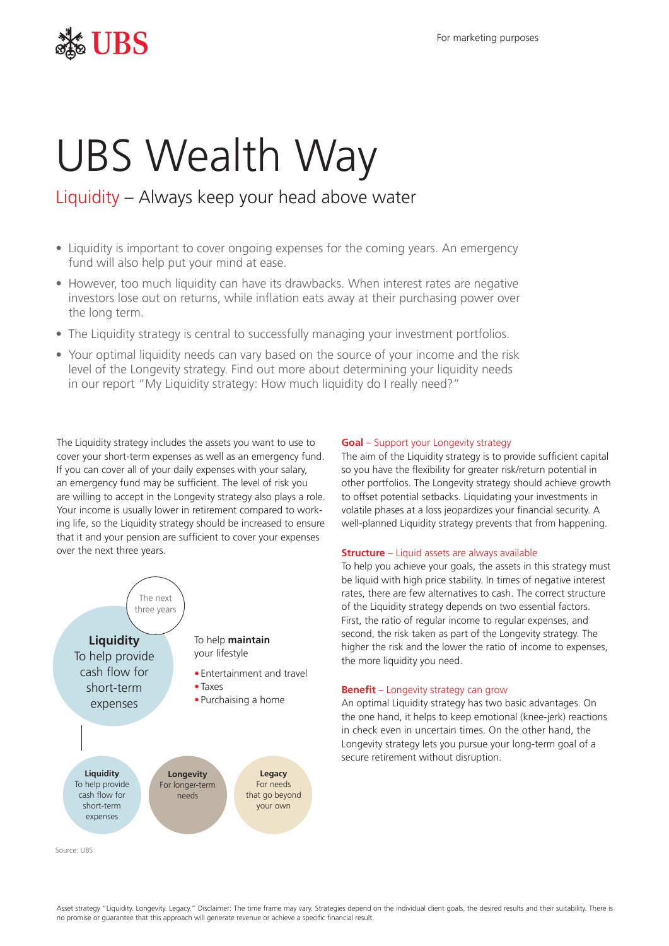## $\frac{1}{2}$  For marketing purposes

# UBS Wealth Way

### Liquidity – Always keep your head above water

- Liquidity is important to cover ongoing expenses for the coming years. An emergency fund will also help put your mind at ease.
- However, too much liquidity can have its drawbacks. When interest rates are negative investors lose out on returns, while inflation eats away at their purchasing power over the long term.
- The Liquidity strategy is central to successfully managing your investment portfolios.
- Your optimal liquidity needs can vary based on the source of your income and the risk level of the Longevity strategy. Find out more about determining your liquidity needs in our report "My Liquidity strategy: How much liquidity do I really need?"

The Liquidity strategy includes the assets you want to use to cover your short-term expenses as well as an emergency fund. If you can cover all of your daily expenses with your salary, an emergency fund may be sufficient. The level of risk you are willing to accept in the Longevity strategy also plays a role. Your income is usually lower in retirement compared to working life, so the Liquidity strategy should be increased to ensure that it and your pension are sufficient to cover your expenses over the next three years.



#### *Goal* – Support your Longevity strategy

The aim of the Liquidity strategy is to provide sufficient capital so you have the flexibility for greater risk/return potential in other portfolios. The Longevity strategy should achieve growth to offset potential setbacks. Liquidating your investments in volatile phases at a loss jeopardizes your financial security. A well-planned Liquidity strategy prevents that from happening.

#### *Structure* – Liquid assets are always available

To help you achieve your goals, the assets in this strategy must be liquid with high price stability. In times of negative interest rates, there are few alternatives to cash. The correct structure of the Liquidity strategy depends on two essential factors. First, the ratio of regular income to regular expenses, and second, the risk taken as part of the Longevity strategy. The higher the risk and the lower the ratio of income to expenses, the more liquidity you need.

#### *Benefit* – Longevity strategy can grow

An optimal Liquidity strategy has two basic advantages. On the one hand, it helps to keep emotional (knee-jerk) reactions in check even in uncertain times. On the other hand, the Longevity strategy lets you pursue your long-term goal of a secure retirement without disruption.